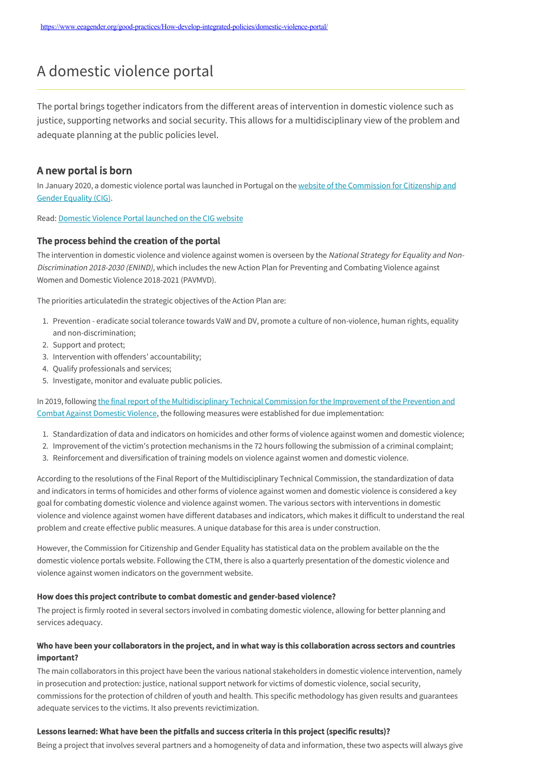# A domestic violence portal

The portal brings together indicators from the different areas of intervention in domestic violence such as justice, supporting networks and social security. This allows for a multidisciplinary view of the problem and adequate planning at the public policies level.

## A new portal is born

[In January 2020, a domestic violence portal was launched in Portugal on the website of the Commission for Citizenship and](https://www.cig.gov.pt/area-portal-da-violencia/portal-violencia-domestica/enquadramento/) Gender Equality [\(CIG\).](https://www.cig.gov.pt/area-portal-da-violencia/portal-violencia-domestica/enquadramento/)

Read: [Domestic Violence Portal launched on the CIG website](https://www.cig.gov.pt/2020/01/portal-violencia-domestica-lancado-no-site-da-cig/)

#### The process behind the creation of the portal

The intervention in domestic violence and violence against women is overseen by the National Strategy for Equality and Non-Discrimination 2018-2030 (ENIND), which includes the new Action Plan for Preventing and Combating Violence against Women and Domestic Violence 2018-2021 (PAVMVD).

The priorities articulatedin the strategic objectives of the Action Plan are:

- 1. Prevention eradicate social tolerance towards VaW and DV, promote a culture of non-violence, human rights, equality and non-discrimination;
- 2. Support and protect;
- 3. Intervention with offenders' accountability;
- 4. Qualify professionals and services;
- 5. Investigate, monitor and evaluate public policies.

[In 2019, following the final report of the Multidisciplinary Technical Commission for the Improvement of the Prevention and](https://www.portugal.gov.pt/pt/gc21/comunicacao/documento?i=relatorio-final-da-comissao-tecnica-multidisciplinar-para-a-melhoria-da-prevencao-e-combate-a-violencia-domestica) Combat Against Domestic Violence, the following measures were established for due implementation:

- 1. Standardization of data and indicators on homicides and other forms of violence against women and domestic violence;
- 2. Improvement of the victim's protection mechanisms in the 72 hours following the submission of a criminal complaint;
- 3. Reinforcement and diversification of training models on violence against women and domestic violence.

According to the resolutions of the Final Report of the Multidisciplinary Technical Commission, the standardization of data and indicators in terms of homicides and other forms of violence against women and domestic violence is considered a key goal for combating domestic violence and violence against women. The various sectors with interventions in domestic violence and violence against women have different databases and indicators, which makes it difficult to understand the real problem and create effective public measures. A unique database for this area is under construction.

However, the Commission for Citizenship and Gender Equality has statistical data on the problem available on the the domestic violence portals website. Following the CTM, there is also a quarterly presentation of the domestic violence and violence against women indicators on the government website.

#### How does this project contribute to combat domestic and gender-based violence?

The project is firmly rooted in several sectors involved in combating domestic violence, allowing for better planning and services adequacy.

### Who have been your collaborators in the project, and in what way is this collaboration across sectors and countries important?

The main collaborators in this project have been the various national stakeholders in domestic violence intervention, namely in prosecution and protection: justice, national support network for victims of domestic violence, social security, commissions for the protection of children of youth and health. This specific methodology has given results and guarantees adequate services to the victims. It also prevents revictimization.

#### Lessons learned: What have been the pitfalls and success criteria in this project (specific results)?

Being a project that involves several partners and a homogeneity of data and information, these two aspects will always give